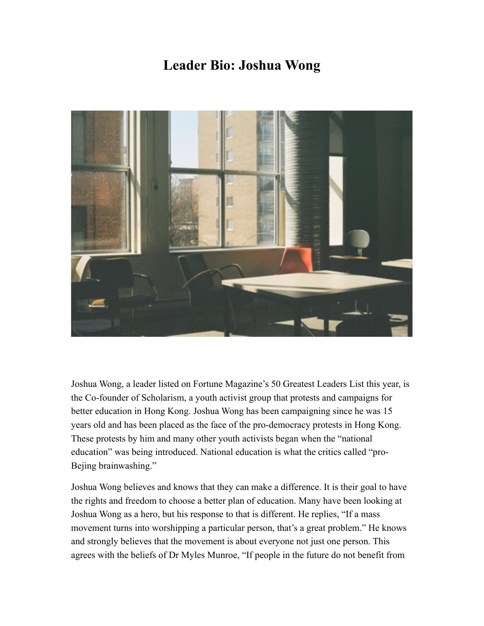## **Leader Bio: Joshua Wong**



Joshua Wong, a leader listed on Fortune Magazine's 50 Greatest Leaders List this year, is the Co-founder of Scholarism, a youth activist group that protests and campaigns for better education in Hong Kong. Joshua Wong has been campaigning since he was 15 years old and has been placed as the face of the pro-democracy protests in Hong Kong. These protests by him and many other youth activists began when the "national education" was being introduced. National education is what the critics called "pro-Bejing brainwashing."

Joshua Wong believes and knows that they can make a difference. It is their goal to have the rights and freedom to choose a better plan of education. Many have been looking at Joshua Wong as a hero, but his response to that is different. He replies, "If a mass movement turns into worshipping a particular person, that's a great problem." He knows and strongly believes that the movement is about everyone not just one person. This agrees with the beliefs of Dr Myles Munroe, "If people in the future do not benefit from